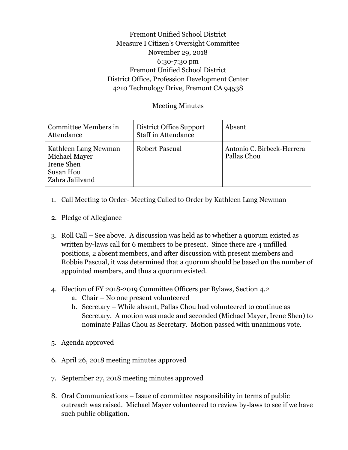## Fremont Unified School District Measure I Citizen's Oversight Committee November 29, 2018 6:30-7:30 pm Fremont Unified School District District Office, Profession Development Center 4210 Technology Drive, Fremont CA 94538

## Meeting Minutes

| Committee Members in<br>Attendance                                                         | District Office Support<br><b>Staff in Attendance</b> | Absent                                    |
|--------------------------------------------------------------------------------------------|-------------------------------------------------------|-------------------------------------------|
| Kathleen Lang Newman<br>Michael Mayer<br>Irene Shen<br><b>Susan Hou</b><br>Zahra Jalilvand | <b>Robert Pascual</b>                                 | Antonio C. Birbeck-Herrera<br>Pallas Chou |

- 1. Call Meeting to Order- Meeting Called to Order by Kathleen Lang Newman
- 2. Pledge of Allegiance
- 3. Roll Call See above. A discussion was held as to whether a quorum existed as written by-laws call for 6 members to be present. Since there are 4 unfilled positions, 2 absent members, and after discussion with present members and Robbie Pascual, it was determined that a quorum should be based on the number of appointed members, and thus a quorum existed.
- 4. Election of FY 2018-2019 Committee Officers per Bylaws, Section 4.2
	- a. Chair No one present volunteered
	- b. Secretary While absent, Pallas Chou had volunteered to continue as Secretary. A motion was made and seconded (Michael Mayer, Irene Shen) to nominate Pallas Chou as Secretary. Motion passed with unanimous vote.
- 5. Agenda approved
- 6. April 26, 2018 meeting minutes approved
- 7. September 27, 2018 meeting minutes approved
- 8. Oral Communications Issue of committee responsibility in terms of public outreach was raised. Michael Mayer volunteered to review by-laws to see if we have such public obligation.